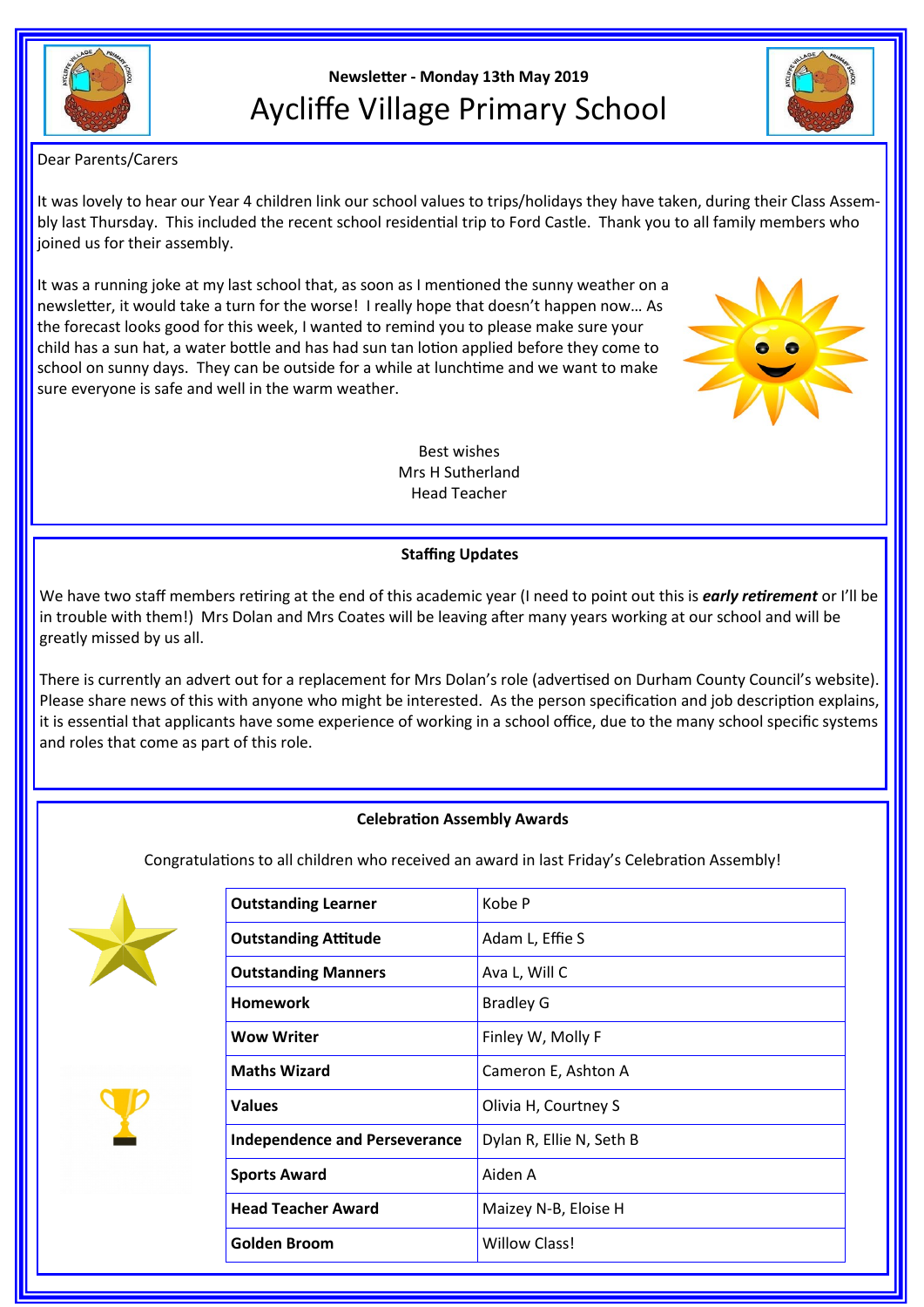

## **Newsletter - Monday 13th May 2019** Aycliffe Village Primary School



Dear Parents/Carers

It was lovely to hear our Year 4 children link our school values to trips/holidays they have taken, during their Class Assembly last Thursday. This included the recent school residential trip to Ford Castle. Thank you to all family members who joined us for their assembly.

It was a running joke at my last school that, as soon as I mentioned the sunny weather on a newsletter, it would take a turn for the worse! I really hope that doesn't happen now… As the forecast looks good for this week, I wanted to remind you to please make sure your child has a sun hat, a water bottle and has had sun tan lotion applied before they come to school on sunny days. They can be outside for a while at lunchtime and we want to make sure everyone is safe and well in the warm weather.



Best wishes Mrs H Sutherland Head Teacher

## **Staffing Updates**

We have two staff members retiring at the end of this academic year (I need to point out this is *early retirement* or I'll be in trouble with them!) Mrs Dolan and Mrs Coates will be leaving after many years working at our school and will be greatly missed by us all.

There is currently an advert out for a replacement for Mrs Dolan's role (advertised on Durham County Council's website). Please share news of this with anyone who might be interested. As the person specification and job description explains, it is essential that applicants have some experience of working in a school office, due to the many school specific systems and roles that come as part of this role.

## **Celebration Assembly Awards**

Congratulations to all children who received an award in last Friday's Celebration Assembly!





| <b>Outstanding Learner</b>           | Kobe P                   |
|--------------------------------------|--------------------------|
| <b>Outstanding Attitude</b>          | Adam L, Effie S          |
| <b>Outstanding Manners</b>           | Ava L, Will C            |
| <b>Homework</b>                      | <b>Bradley G</b>         |
| <b>Wow Writer</b>                    | Finley W, Molly F        |
| <b>Maths Wizard</b>                  | Cameron E, Ashton A      |
| <b>Values</b>                        | Olivia H, Courtney S     |
| <b>Independence and Perseverance</b> | Dylan R, Ellie N, Seth B |
| <b>Sports Award</b>                  | Aiden A                  |
| <b>Head Teacher Award</b>            | Maizey N-B, Eloise H     |
| <b>Golden Broom</b>                  | <b>Willow Class!</b>     |
|                                      |                          |